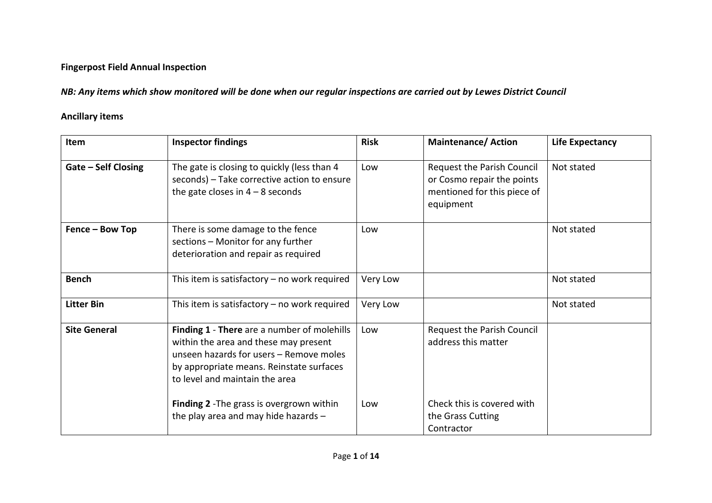## **Fingerpost Field Annual Inspection**

*NB: Any items which show monitored will be done when our regular inspections are carried out by Lewes District Council*

## **Ancillary items**

| Item                       | <b>Inspector findings</b>                                                                                                                                                                                     | <b>Risk</b> | <b>Maintenance/ Action</b>                                                                           | <b>Life Expectancy</b> |
|----------------------------|---------------------------------------------------------------------------------------------------------------------------------------------------------------------------------------------------------------|-------------|------------------------------------------------------------------------------------------------------|------------------------|
| <b>Gate - Self Closing</b> | The gate is closing to quickly (less than 4<br>seconds) - Take corrective action to ensure<br>the gate closes in $4 - 8$ seconds                                                                              | Low         | Request the Parish Council<br>or Cosmo repair the points<br>mentioned for this piece of<br>equipment | Not stated             |
| Fence - Bow Top            | There is some damage to the fence<br>sections - Monitor for any further<br>deterioration and repair as required                                                                                               | Low         |                                                                                                      | Not stated             |
| <b>Bench</b>               | This item is satisfactory $-$ no work required                                                                                                                                                                | Very Low    |                                                                                                      | Not stated             |
| <b>Litter Bin</b>          | This item is satisfactory $-$ no work required                                                                                                                                                                | Very Low    |                                                                                                      | Not stated             |
| <b>Site General</b>        | Finding 1 - There are a number of molehills<br>within the area and these may present<br>unseen hazards for users - Remove moles<br>by appropriate means. Reinstate surfaces<br>to level and maintain the area | Low         | Request the Parish Council<br>address this matter                                                    |                        |
|                            | Finding 2 - The grass is overgrown within<br>the play area and may hide hazards $-$                                                                                                                           | Low         | Check this is covered with<br>the Grass Cutting<br>Contractor                                        |                        |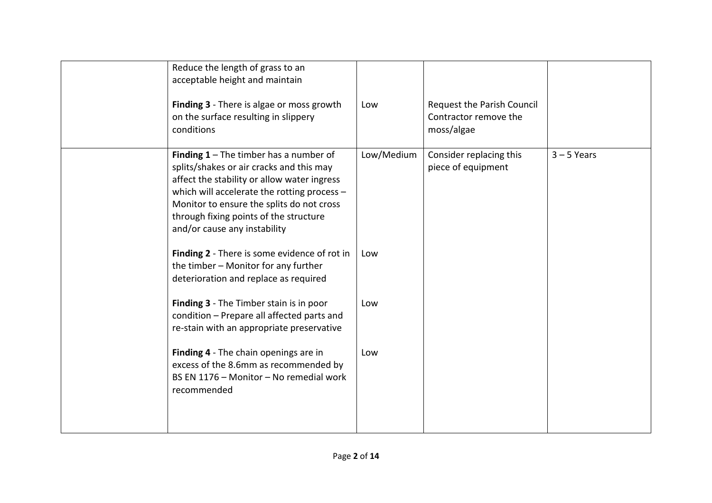| Reduce the length of grass to an<br>acceptable height and maintain<br>Finding 3 - There is algae or moss growth<br>on the surface resulting in slippery<br>conditions                                                                                                                                     | Low        | Request the Parish Council<br>Contractor remove the<br>moss/algae |               |
|-----------------------------------------------------------------------------------------------------------------------------------------------------------------------------------------------------------------------------------------------------------------------------------------------------------|------------|-------------------------------------------------------------------|---------------|
| Finding $1$ – The timber has a number of<br>splits/shakes or air cracks and this may<br>affect the stability or allow water ingress<br>which will accelerate the rotting process -<br>Monitor to ensure the splits do not cross<br>through fixing points of the structure<br>and/or cause any instability | Low/Medium | Consider replacing this<br>piece of equipment                     | $3 - 5$ Years |
| Finding 2 - There is some evidence of rot in<br>the timber - Monitor for any further<br>deterioration and replace as required                                                                                                                                                                             | Low        |                                                                   |               |
| Finding 3 - The Timber stain is in poor<br>condition - Prepare all affected parts and<br>re-stain with an appropriate preservative                                                                                                                                                                        | Low        |                                                                   |               |
| Finding 4 - The chain openings are in<br>excess of the 8.6mm as recommended by<br>BS EN 1176 - Monitor - No remedial work<br>recommended                                                                                                                                                                  | Low        |                                                                   |               |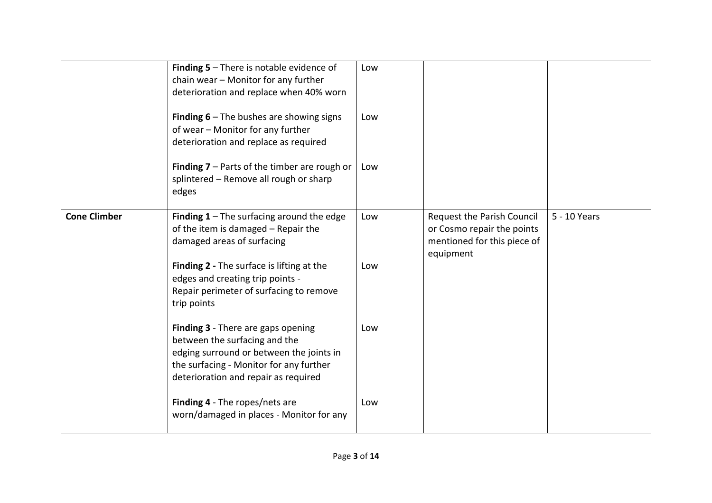|                     | <b>Finding 5</b> $-$ There is notable evidence of<br>chain wear - Monitor for any further<br>deterioration and replace when 40% worn<br><b>Finding 6</b> $-$ The bushes are showing signs<br>of wear - Monitor for any further<br>deterioration and replace as required<br><b>Finding 7</b> – Parts of the timber are rough or<br>splintered - Remove all rough or sharp<br>edges | Low<br>Low<br>Low |                                                                                                      |              |
|---------------------|-----------------------------------------------------------------------------------------------------------------------------------------------------------------------------------------------------------------------------------------------------------------------------------------------------------------------------------------------------------------------------------|-------------------|------------------------------------------------------------------------------------------------------|--------------|
| <b>Cone Climber</b> | <b>Finding 1</b> – The surfacing around the edge<br>of the item is damaged - Repair the<br>damaged areas of surfacing<br>Finding 2 - The surface is lifting at the                                                                                                                                                                                                                | Low<br>Low        | Request the Parish Council<br>or Cosmo repair the points<br>mentioned for this piece of<br>equipment | 5 - 10 Years |
|                     | edges and creating trip points -<br>Repair perimeter of surfacing to remove<br>trip points                                                                                                                                                                                                                                                                                        |                   |                                                                                                      |              |
|                     | Finding 3 - There are gaps opening<br>between the surfacing and the<br>edging surround or between the joints in<br>the surfacing - Monitor for any further<br>deterioration and repair as required                                                                                                                                                                                | Low               |                                                                                                      |              |
|                     | Finding 4 - The ropes/nets are<br>worn/damaged in places - Monitor for any                                                                                                                                                                                                                                                                                                        | Low               |                                                                                                      |              |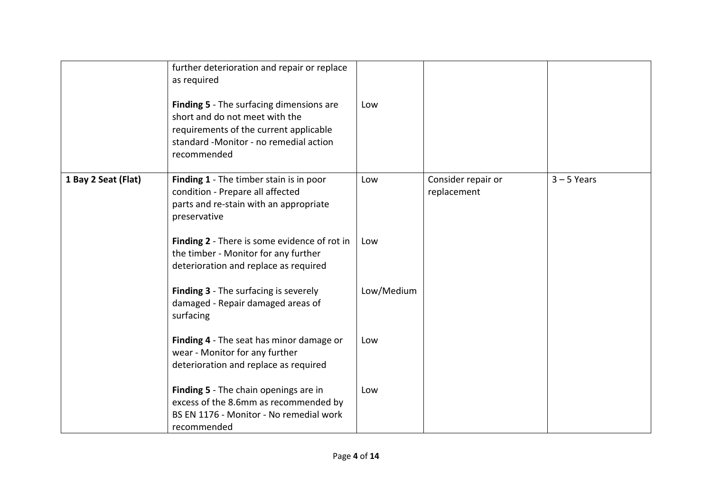|                     | further deterioration and repair or replace<br>as required<br><b>Finding 5</b> - The surfacing dimensions are<br>short and do not meet with the<br>requirements of the current applicable<br>standard -Monitor - no remedial action<br>recommended | Low        |                                   |               |
|---------------------|----------------------------------------------------------------------------------------------------------------------------------------------------------------------------------------------------------------------------------------------------|------------|-----------------------------------|---------------|
| 1 Bay 2 Seat (Flat) | Finding 1 - The timber stain is in poor<br>condition - Prepare all affected<br>parts and re-stain with an appropriate<br>preservative                                                                                                              | Low        | Consider repair or<br>replacement | $3 - 5$ Years |
|                     | Finding 2 - There is some evidence of rot in<br>the timber - Monitor for any further<br>deterioration and replace as required                                                                                                                      | Low        |                                   |               |
|                     | <b>Finding 3</b> - The surfacing is severely<br>damaged - Repair damaged areas of<br>surfacing                                                                                                                                                     | Low/Medium |                                   |               |
|                     | Finding 4 - The seat has minor damage or<br>wear - Monitor for any further<br>deterioration and replace as required                                                                                                                                | Low        |                                   |               |
|                     | Finding 5 - The chain openings are in<br>excess of the 8.6mm as recommended by<br>BS EN 1176 - Monitor - No remedial work<br>recommended                                                                                                           | Low        |                                   |               |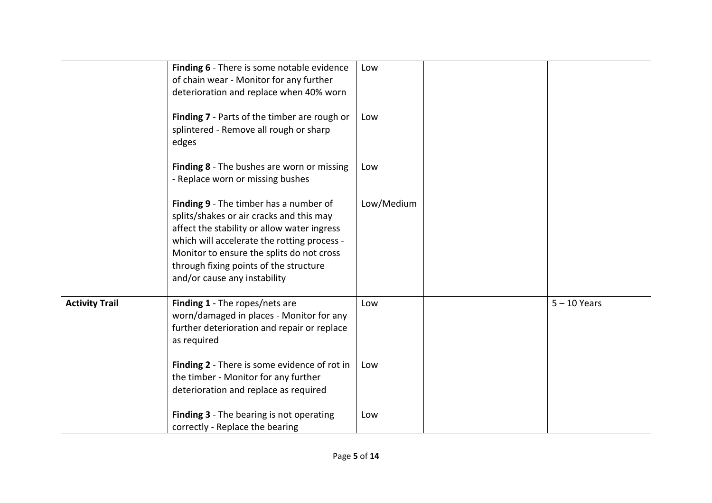|                       | Finding 6 - There is some notable evidence<br>of chain wear - Monitor for any further<br>deterioration and replace when 40% worn<br>Finding 7 - Parts of the timber are rough or<br>splintered - Remove all rough or sharp<br>edges                                                                     | Low<br>Low |                |
|-----------------------|---------------------------------------------------------------------------------------------------------------------------------------------------------------------------------------------------------------------------------------------------------------------------------------------------------|------------|----------------|
|                       | Finding 8 - The bushes are worn or missing<br>- Replace worn or missing bushes                                                                                                                                                                                                                          | Low        |                |
|                       | Finding 9 - The timber has a number of<br>splits/shakes or air cracks and this may<br>affect the stability or allow water ingress<br>which will accelerate the rotting process -<br>Monitor to ensure the splits do not cross<br>through fixing points of the structure<br>and/or cause any instability | Low/Medium |                |
| <b>Activity Trail</b> | Finding 1 - The ropes/nets are<br>worn/damaged in places - Monitor for any<br>further deterioration and repair or replace<br>as required                                                                                                                                                                | Low        | $5 - 10$ Years |
|                       | Finding 2 - There is some evidence of rot in<br>the timber - Monitor for any further<br>deterioration and replace as required                                                                                                                                                                           | Low        |                |
|                       | Finding 3 - The bearing is not operating<br>correctly - Replace the bearing                                                                                                                                                                                                                             | Low        |                |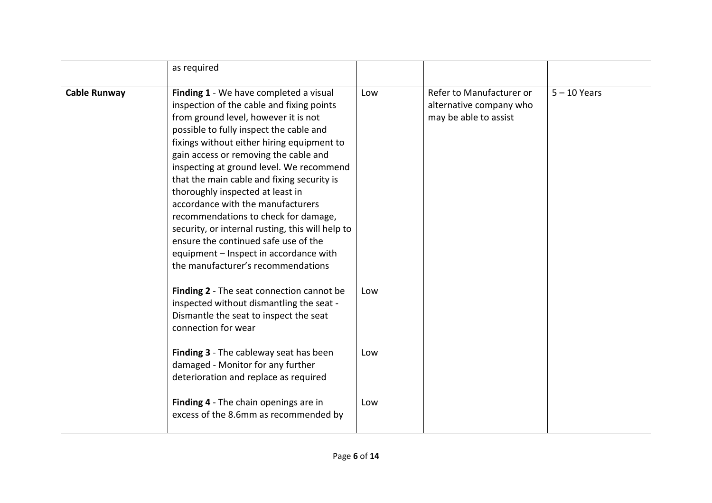|                     | as required                                                                                                                                                                                                                                                                                                                                                                                                                                                                                                                                                                                                                                          |            |                                                                              |                |
|---------------------|------------------------------------------------------------------------------------------------------------------------------------------------------------------------------------------------------------------------------------------------------------------------------------------------------------------------------------------------------------------------------------------------------------------------------------------------------------------------------------------------------------------------------------------------------------------------------------------------------------------------------------------------------|------------|------------------------------------------------------------------------------|----------------|
| <b>Cable Runway</b> | Finding 1 - We have completed a visual<br>inspection of the cable and fixing points<br>from ground level, however it is not<br>possible to fully inspect the cable and<br>fixings without either hiring equipment to<br>gain access or removing the cable and<br>inspecting at ground level. We recommend<br>that the main cable and fixing security is<br>thoroughly inspected at least in<br>accordance with the manufacturers<br>recommendations to check for damage,<br>security, or internal rusting, this will help to<br>ensure the continued safe use of the<br>equipment - Inspect in accordance with<br>the manufacturer's recommendations | Low        | Refer to Manufacturer or<br>alternative company who<br>may be able to assist | $5 - 10$ Years |
|                     | Finding 2 - The seat connection cannot be<br>inspected without dismantling the seat -<br>Dismantle the seat to inspect the seat<br>connection for wear<br>Finding 3 - The cableway seat has been                                                                                                                                                                                                                                                                                                                                                                                                                                                     | Low<br>Low |                                                                              |                |
|                     | damaged - Monitor for any further<br>deterioration and replace as required                                                                                                                                                                                                                                                                                                                                                                                                                                                                                                                                                                           |            |                                                                              |                |
|                     | Finding 4 - The chain openings are in<br>excess of the 8.6mm as recommended by                                                                                                                                                                                                                                                                                                                                                                                                                                                                                                                                                                       | Low        |                                                                              |                |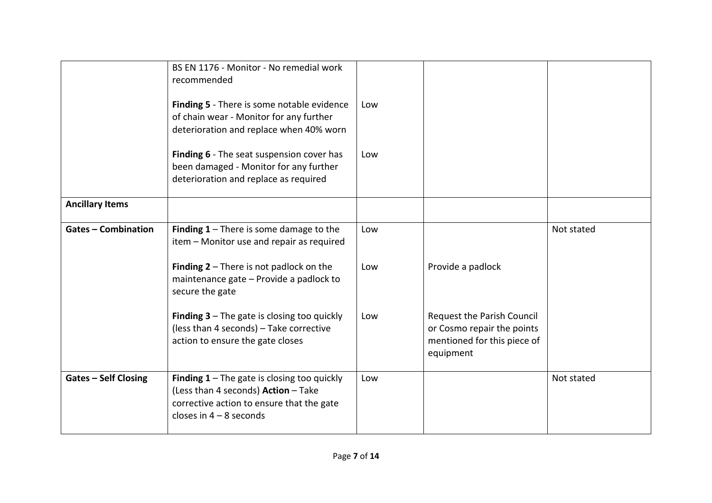|                             | BS EN 1176 - Monitor - No remedial work<br>recommended<br><b>Finding 5</b> - There is some notable evidence<br>of chain wear - Monitor for any further<br>deterioration and replace when 40% worn | Low |                                                                                                             |            |
|-----------------------------|---------------------------------------------------------------------------------------------------------------------------------------------------------------------------------------------------|-----|-------------------------------------------------------------------------------------------------------------|------------|
|                             | Finding 6 - The seat suspension cover has<br>been damaged - Monitor for any further<br>deterioration and replace as required                                                                      | Low |                                                                                                             |            |
| <b>Ancillary Items</b>      |                                                                                                                                                                                                   |     |                                                                                                             |            |
| <b>Gates - Combination</b>  | <b>Finding 1</b> – There is some damage to the<br>item - Monitor use and repair as required                                                                                                       | Low |                                                                                                             | Not stated |
|                             | <b>Finding 2</b> $-$ There is not padlock on the<br>maintenance gate - Provide a padlock to<br>secure the gate                                                                                    | Low | Provide a padlock                                                                                           |            |
|                             | <b>Finding 3</b> $-$ The gate is closing too quickly<br>(less than 4 seconds) - Take corrective<br>action to ensure the gate closes                                                               | Low | <b>Request the Parish Council</b><br>or Cosmo repair the points<br>mentioned for this piece of<br>equipment |            |
| <b>Gates - Self Closing</b> | <b>Finding 1</b> – The gate is closing too quickly<br>(Less than 4 seconds) Action - Take<br>corrective action to ensure that the gate<br>closes in $4 - 8$ seconds                               | Low |                                                                                                             | Not stated |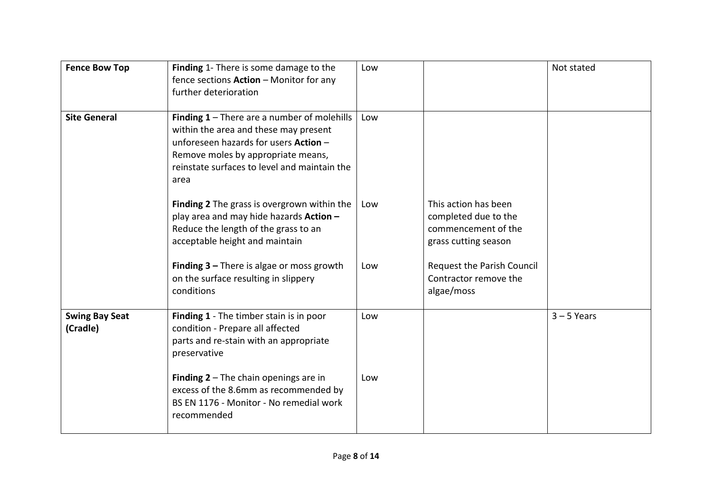| <b>Fence Bow Top</b>              | Finding 1- There is some damage to the<br>fence sections Action - Monitor for any<br>further deterioration                                                                                                                         | Low |                                                                                             | Not stated    |
|-----------------------------------|------------------------------------------------------------------------------------------------------------------------------------------------------------------------------------------------------------------------------------|-----|---------------------------------------------------------------------------------------------|---------------|
| <b>Site General</b>               | <b>Finding 1</b> – There are a number of molehills<br>within the area and these may present<br>unforeseen hazards for users Action -<br>Remove moles by appropriate means,<br>reinstate surfaces to level and maintain the<br>area | Low |                                                                                             |               |
|                                   | Finding 2 The grass is overgrown within the<br>play area and may hide hazards Action -<br>Reduce the length of the grass to an<br>acceptable height and maintain                                                                   | Low | This action has been<br>completed due to the<br>commencement of the<br>grass cutting season |               |
|                                   | <b>Finding 3 – There is algae or moss growth</b><br>on the surface resulting in slippery<br>conditions                                                                                                                             | Low | Request the Parish Council<br>Contractor remove the<br>algae/moss                           |               |
| <b>Swing Bay Seat</b><br>(Cradle) | Finding 1 - The timber stain is in poor<br>condition - Prepare all affected<br>parts and re-stain with an appropriate<br>preservative                                                                                              | Low |                                                                                             | $3 - 5$ Years |
|                                   | Finding $2 -$ The chain openings are in<br>excess of the 8.6mm as recommended by<br>BS EN 1176 - Monitor - No remedial work<br>recommended                                                                                         | Low |                                                                                             |               |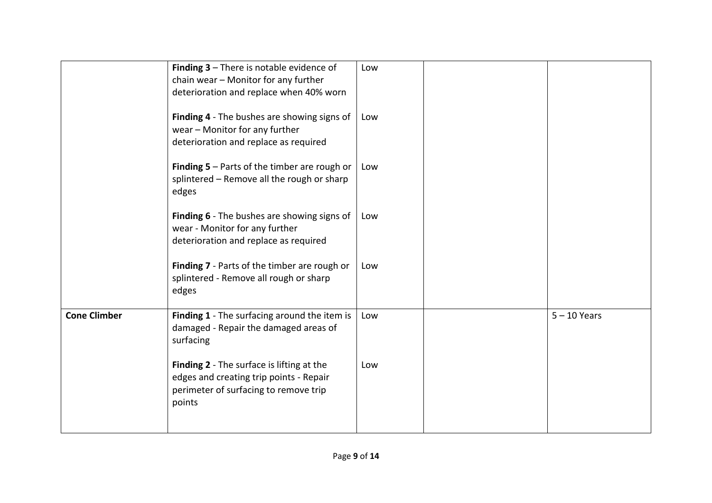|                     | Finding 3 - There is notable evidence of<br>chain wear - Monitor for any further<br>deterioration and replace when 40% worn<br>Finding 4 - The bushes are showing signs of<br>wear - Monitor for any further<br>deterioration and replace as required | Low<br>Low |                |
|---------------------|-------------------------------------------------------------------------------------------------------------------------------------------------------------------------------------------------------------------------------------------------------|------------|----------------|
|                     | <b>Finding 5</b> $-$ Parts of the timber are rough or<br>splintered - Remove all the rough or sharp<br>edges                                                                                                                                          | Low        |                |
|                     | Finding 6 - The bushes are showing signs of<br>wear - Monitor for any further<br>deterioration and replace as required                                                                                                                                | Low        |                |
|                     | Finding 7 - Parts of the timber are rough or<br>splintered - Remove all rough or sharp<br>edges                                                                                                                                                       | Low        |                |
| <b>Cone Climber</b> | Finding 1 - The surfacing around the item is<br>damaged - Repair the damaged areas of<br>surfacing                                                                                                                                                    | Low        | $5 - 10$ Years |
|                     | Finding 2 - The surface is lifting at the<br>edges and creating trip points - Repair<br>perimeter of surfacing to remove trip<br>points                                                                                                               | Low        |                |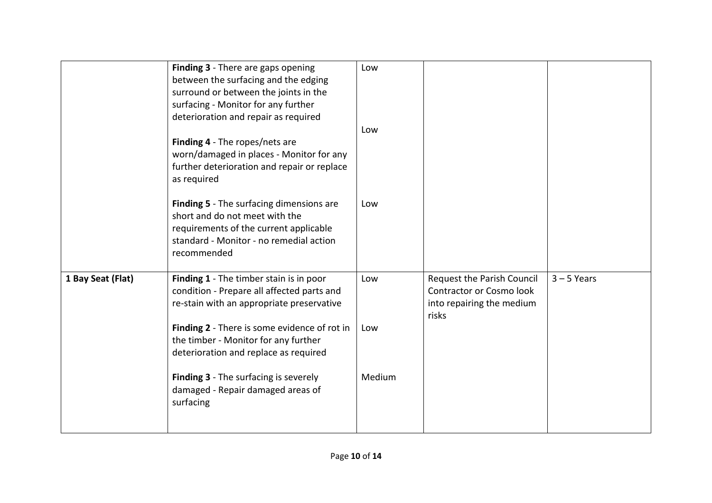|                   | Finding 3 - There are gaps opening<br>between the surfacing and the edging<br>surround or between the joints in the<br>surfacing - Monitor for any further<br>deterioration and repair as required<br>Finding 4 - The ropes/nets are | Low<br>Low |                                                                                              |               |
|-------------------|--------------------------------------------------------------------------------------------------------------------------------------------------------------------------------------------------------------------------------------|------------|----------------------------------------------------------------------------------------------|---------------|
|                   | worn/damaged in places - Monitor for any<br>further deterioration and repair or replace<br>as required                                                                                                                               |            |                                                                                              |               |
|                   | Finding 5 - The surfacing dimensions are<br>short and do not meet with the<br>requirements of the current applicable<br>standard - Monitor - no remedial action<br>recommended                                                       | Low        |                                                                                              |               |
| 1 Bay Seat (Flat) | Finding 1 - The timber stain is in poor<br>condition - Prepare all affected parts and<br>re-stain with an appropriate preservative                                                                                                   | Low        | Request the Parish Council<br>Contractor or Cosmo look<br>into repairing the medium<br>risks | $3 - 5$ Years |
|                   | Finding 2 - There is some evidence of rot in<br>the timber - Monitor for any further<br>deterioration and replace as required                                                                                                        | Low        |                                                                                              |               |
|                   | Finding 3 - The surfacing is severely<br>damaged - Repair damaged areas of<br>surfacing                                                                                                                                              | Medium     |                                                                                              |               |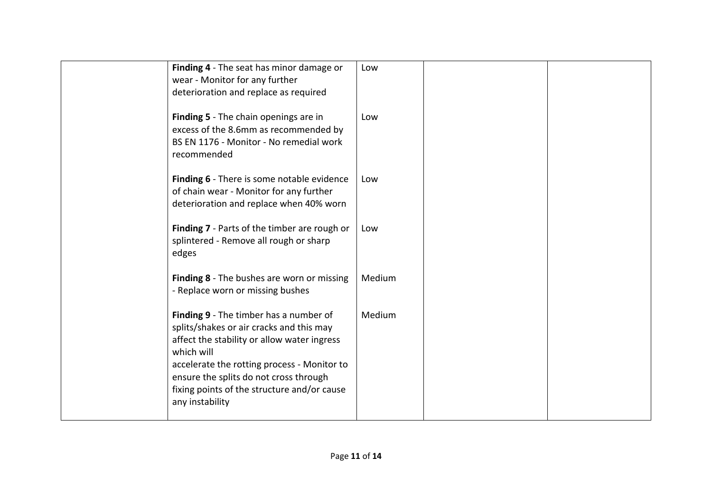| Finding 4 - The seat has minor damage or<br>wear - Monitor for any further<br>deterioration and replace as required                                                                                                                                                                                        | Low    |  |
|------------------------------------------------------------------------------------------------------------------------------------------------------------------------------------------------------------------------------------------------------------------------------------------------------------|--------|--|
| Finding 5 - The chain openings are in<br>excess of the 8.6mm as recommended by<br>BS EN 1176 - Monitor - No remedial work<br>recommended                                                                                                                                                                   | Low    |  |
| Finding 6 - There is some notable evidence<br>of chain wear - Monitor for any further<br>deterioration and replace when 40% worn                                                                                                                                                                           | Low    |  |
| Finding 7 - Parts of the timber are rough or<br>splintered - Remove all rough or sharp<br>edges                                                                                                                                                                                                            | Low    |  |
| <b>Finding 8</b> - The bushes are worn or missing<br>- Replace worn or missing bushes                                                                                                                                                                                                                      | Medium |  |
| Finding 9 - The timber has a number of<br>splits/shakes or air cracks and this may<br>affect the stability or allow water ingress<br>which will<br>accelerate the rotting process - Monitor to<br>ensure the splits do not cross through<br>fixing points of the structure and/or cause<br>any instability | Medium |  |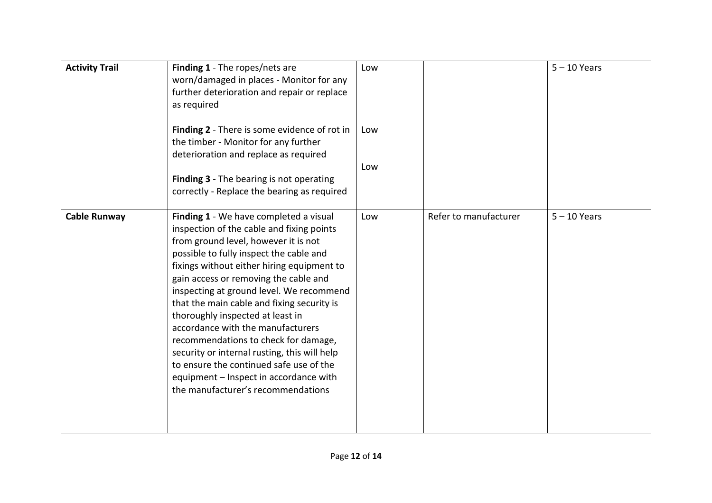| <b>Activity Trail</b> | Finding 1 - The ropes/nets are<br>worn/damaged in places - Monitor for any<br>further deterioration and repair or replace<br>as required<br>Finding 2 - There is some evidence of rot in<br>the timber - Monitor for any further<br>deterioration and replace as required<br>Finding 3 - The bearing is not operating<br>correctly - Replace the bearing as required                                                                                                                                                                                                                                                                                | Low<br>Low<br>Low |                       | $5 - 10$ Years |
|-----------------------|-----------------------------------------------------------------------------------------------------------------------------------------------------------------------------------------------------------------------------------------------------------------------------------------------------------------------------------------------------------------------------------------------------------------------------------------------------------------------------------------------------------------------------------------------------------------------------------------------------------------------------------------------------|-------------------|-----------------------|----------------|
| <b>Cable Runway</b>   | Finding 1 - We have completed a visual<br>inspection of the cable and fixing points<br>from ground level, however it is not<br>possible to fully inspect the cable and<br>fixings without either hiring equipment to<br>gain access or removing the cable and<br>inspecting at ground level. We recommend<br>that the main cable and fixing security is<br>thoroughly inspected at least in<br>accordance with the manufacturers<br>recommendations to check for damage,<br>security or internal rusting, this will help<br>to ensure the continued safe use of the<br>equipment - Inspect in accordance with<br>the manufacturer's recommendations | Low               | Refer to manufacturer | $5 - 10$ Years |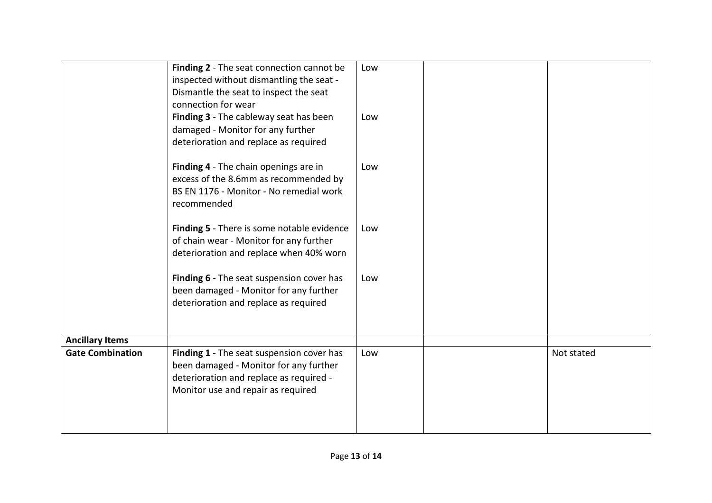|                         | Finding 2 - The seat connection cannot be<br>inspected without dismantling the seat -<br>Dismantle the seat to inspect the seat<br>connection for wear<br>Finding 3 - The cableway seat has been<br>damaged - Monitor for any further<br>deterioration and replace as required | Low<br>Low |            |
|-------------------------|--------------------------------------------------------------------------------------------------------------------------------------------------------------------------------------------------------------------------------------------------------------------------------|------------|------------|
|                         | Finding 4 - The chain openings are in<br>excess of the 8.6mm as recommended by<br>BS EN 1176 - Monitor - No remedial work<br>recommended                                                                                                                                       | Low        |            |
|                         | Finding 5 - There is some notable evidence<br>of chain wear - Monitor for any further<br>deterioration and replace when 40% worn                                                                                                                                               | Low        |            |
|                         | Finding 6 - The seat suspension cover has<br>been damaged - Monitor for any further<br>deterioration and replace as required                                                                                                                                                   | Low        |            |
| <b>Ancillary Items</b>  |                                                                                                                                                                                                                                                                                |            |            |
| <b>Gate Combination</b> | Finding 1 - The seat suspension cover has<br>been damaged - Monitor for any further<br>deterioration and replace as required -<br>Monitor use and repair as required                                                                                                           | Low        | Not stated |